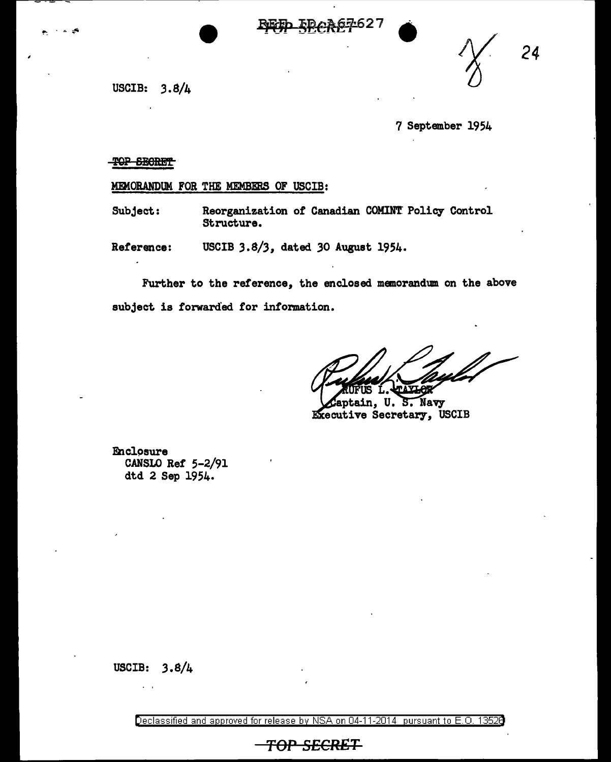



*24* 

USCIB: 3.8/4

7 September 1954

-TOP SECRET

MEMORANDUM FOR THE MEMBERS OF USCIB:

Subject: Reorganization *ot* Canadian COMIN'f Policy Control Structure.

Reference: USCIB *3.8/3,* dated *30* August 1954.

Further to the reference, the enclosed memorandum on the above subject is forwarded for information.

eptain, U. S. Navy Executive Secretary, USCIB

**Enclosure** CANSLO Ref 5-2/91 dtd 2 Sep 1954.

USCIB: 3.8/4

Declassified and approved for release by NSA on 04-11-2014 pursuant to E. 0. 1352B

*TOP SECRET*